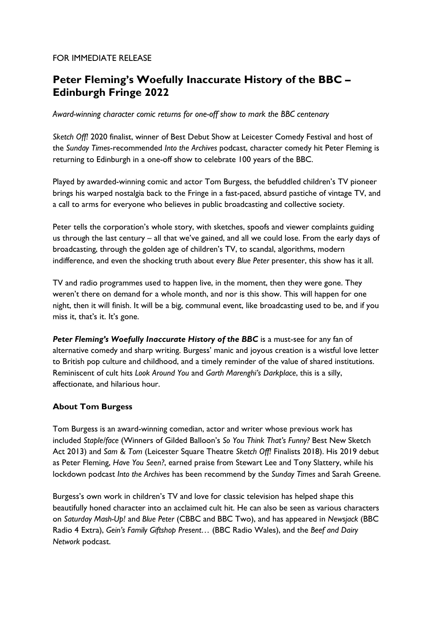## FOR IMMEDIATE RELEASE

# Peter Fleming's Woefully Inaccurate History of the BBC – Edinburgh Fringe 2022

Award-winning character comic returns for one-off show to mark the BBC centenary

Sketch Off! 2020 finalist, winner of Best Debut Show at Leicester Comedy Festival and host of the Sunday Times-recommended Into the Archives podcast, character comedy hit Peter Fleming is returning to Edinburgh in a one-off show to celebrate 100 years of the BBC.

Played by awarded-winning comic and actor Tom Burgess, the befuddled children's TV pioneer brings his warped nostalgia back to the Fringe in a fast-paced, absurd pastiche of vintage TV, and a call to arms for everyone who believes in public broadcasting and collective society.

Peter tells the corporation's whole story, with sketches, spoofs and viewer complaints guiding us through the last century – all that we've gained, and all we could lose. From the early days of broadcasting, through the golden age of children's TV, to scandal, algorithms, modern indifference, and even the shocking truth about every Blue Peter presenter, this show has it all.

TV and radio programmes used to happen live, in the moment, then they were gone. They weren't there on demand for a whole month, and nor is this show. This will happen for one night, then it will finish. It will be a big, communal event, like broadcasting used to be, and if you miss it, that's it. It's gone.

Peter Fleming's Woefully Inaccurate History of the BBC is a must-see for any fan of alternative comedy and sharp writing. Burgess' manic and joyous creation is a wistful love letter to British pop culture and childhood, and a timely reminder of the value of shared institutions. Reminiscent of cult hits Look Around You and Garth Marenghi's Darkplace, this is a silly, affectionate, and hilarious hour.

## About Tom Burgess

Tom Burgess is an award-winning comedian, actor and writer whose previous work has included Staple/face (Winners of Gilded Balloon's So You Think That's Funny? Best New Sketch Act 2013) and Sam & Tom (Leicester Square Theatre Sketch Off! Finalists 2018). His 2019 debut as Peter Fleming, Have You Seen?, earned praise from Stewart Lee and Tony Slattery, while his lockdown podcast Into the Archives has been recommend by the Sunday Times and Sarah Greene.

Burgess's own work in children's TV and love for classic television has helped shape this beautifully honed character into an acclaimed cult hit. He can also be seen as various characters on Saturday Mash-Up! and Blue Peter (CBBC and BBC Two), and has appeared in Newsjack (BBC Radio 4 Extra), Gein's Family Giftshop Present… (BBC Radio Wales), and the Beef and Dairy Network podcast.